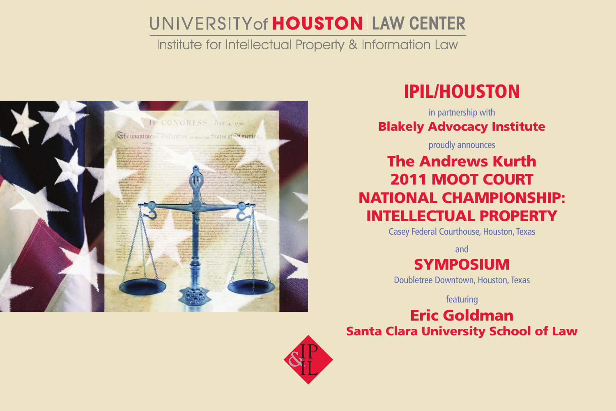# UNIVERSITY of **HOUSTON** LAW CENTER

Institute for Intellectual Property & Information Law



## IPIL/Houston

in partnership with Blakely Advocacy Institute

proudly announces

### The Andrews Kurth 2011 MOOT COURT NATIONAL CHAMPIONSHIP: INTELLECTUAL PROPERTY

Casey Federal Courthouse, Houston, Texas

and

SYMPOSIUM

Doubletree Downtown, Houston, Texas

featuring

### Eric Goldman Santa Clara University School of Law